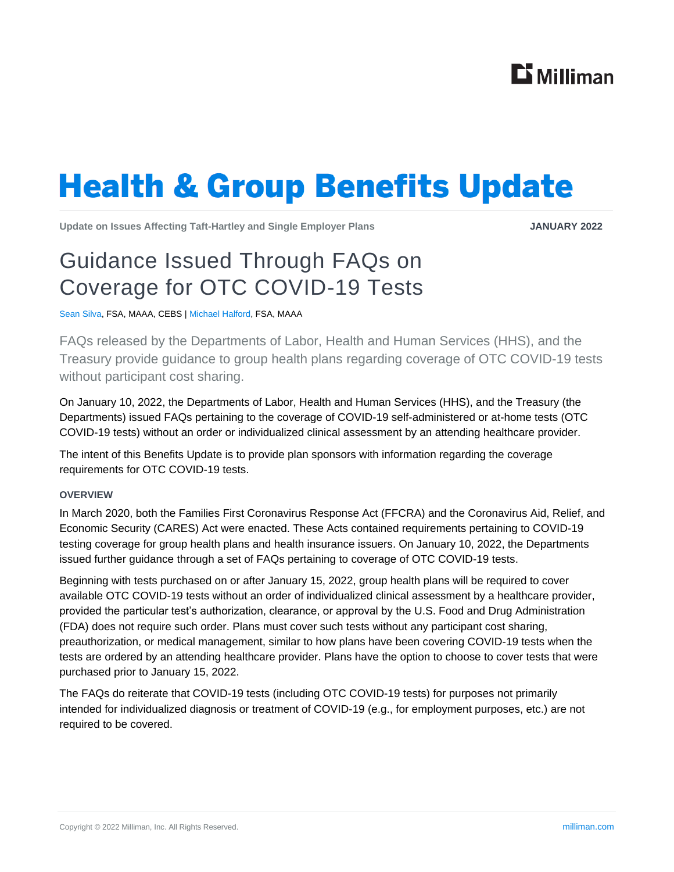

# **Health & Group Benefits Update**

**Update on Issues Affecting Taft-Hartley and Single Employer Plans JANUARY 2022**

# Guidance Issued Through FAQs on Coverage for OTC COVID-19 Tests

Sean Silva, FSA, MAAA, CEBS | Michael Halford, FSA, MAAA

FAQs released by the Departments of Labor, Health and Human Services (HHS), and the Treasury provide guidance to group health plans regarding coverage of OTC COVID-19 tests without participant cost sharing.

On January 10, 2022, the Departments of Labor, Health and Human Services (HHS), and the Treasury (the Departments) issued FAQs pertaining to the coverage of COVID-19 self-administered or at-home tests (OTC COVID-19 tests) without an order or individualized clinical assessment by an attending healthcare provider.

The intent of this Benefits Update is to provide plan sponsors with information regarding the coverage requirements for OTC COVID-19 tests.

### **OVERVIEW**

In March 2020, both the Families First Coronavirus Response Act (FFCRA) and the Coronavirus Aid, Relief, and Economic Security (CARES) Act were enacted. These Acts contained requirements pertaining to COVID-19 testing coverage for group health plans and health insurance issuers. On January 10, 2022, the Departments issued further guidance through a set of FAQs pertaining to coverage of OTC COVID-19 tests.

Beginning with tests purchased on or after January 15, 2022, group health plans will be required to cover available OTC COVID-19 tests without an order of individualized clinical assessment by a healthcare provider, provided the particular test's authorization, clearance, or approval by the U.S. Food and Drug Administration (FDA) does not require such order. Plans must cover such tests without any participant cost sharing, preauthorization, or medical management, similar to how plans have been covering COVID-19 tests when the tests are ordered by an attending healthcare provider. Plans have the option to choose to cover tests that were purchased prior to January 15, 2022.

The FAQs do reiterate that COVID-19 tests (including OTC COVID-19 tests) for purposes not primarily intended for individualized diagnosis or treatment of COVID-19 (e.g., for employment purposes, etc.) are not required to be covered.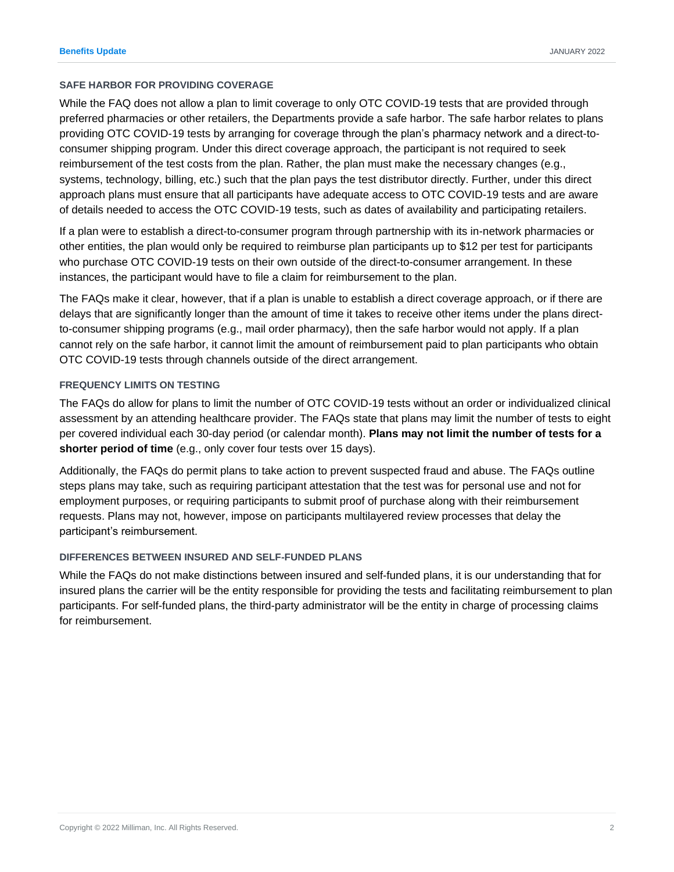### **SAFE HARBOR FOR PROVIDING COVERAGE**

While the FAQ does not allow a plan to limit coverage to only OTC COVID-19 tests that are provided through preferred pharmacies or other retailers, the Departments provide a safe harbor. The safe harbor relates to plans providing OTC COVID-19 tests by arranging for coverage through the plan's pharmacy network and a direct-toconsumer shipping program. Under this direct coverage approach, the participant is not required to seek reimbursement of the test costs from the plan. Rather, the plan must make the necessary changes (e.g., systems, technology, billing, etc.) such that the plan pays the test distributor directly. Further, under this direct approach plans must ensure that all participants have adequate access to OTC COVID-19 tests and are aware of details needed to access the OTC COVID-19 tests, such as dates of availability and participating retailers.

If a plan were to establish a direct-to-consumer program through partnership with its in-network pharmacies or other entities, the plan would only be required to reimburse plan participants up to \$12 per test for participants who purchase OTC COVID-19 tests on their own outside of the direct-to-consumer arrangement. In these instances, the participant would have to file a claim for reimbursement to the plan.

The FAQs make it clear, however, that if a plan is unable to establish a direct coverage approach, or if there are delays that are significantly longer than the amount of time it takes to receive other items under the plans directto-consumer shipping programs (e.g., mail order pharmacy), then the safe harbor would not apply. If a plan cannot rely on the safe harbor, it cannot limit the amount of reimbursement paid to plan participants who obtain OTC COVID-19 tests through channels outside of the direct arrangement.

### **FREQUENCY LIMITS ON TESTING**

The FAQs do allow for plans to limit the number of OTC COVID-19 tests without an order or individualized clinical assessment by an attending healthcare provider. The FAQs state that plans may limit the number of tests to eight per covered individual each 30-day period (or calendar month). **Plans may not limit the number of tests for a shorter period of time** (e.g., only cover four tests over 15 days).

Additionally, the FAQs do permit plans to take action to prevent suspected fraud and abuse. The FAQs outline steps plans may take, such as requiring participant attestation that the test was for personal use and not for employment purposes, or requiring participants to submit proof of purchase along with their reimbursement requests. Plans may not, however, impose on participants multilayered review processes that delay the participant's reimbursement.

## **DIFFERENCES BETWEEN INSURED AND SELF-FUNDED PLANS**

While the FAQs do not make distinctions between insured and self-funded plans, it is our understanding that for insured plans the carrier will be the entity responsible for providing the tests and facilitating reimbursement to plan participants. For self-funded plans, the third-party administrator will be the entity in charge of processing claims for reimbursement.